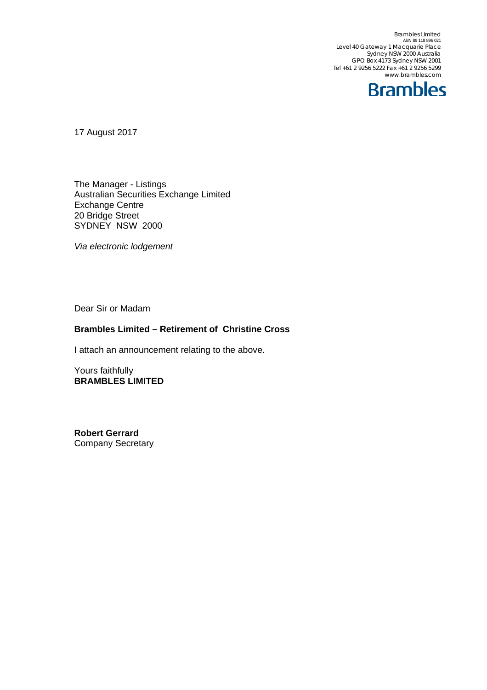Brambles Limited <sub>ABN 89</sub> 118 896 021<br>Level 40 Gateway 1 Macquarie Place Sydney NSW 2000 Australia GPO Box 4173 Sydney NSW 2001 Tel +61 2 9256 5222 Fax +61 2 9256 5299 www.brambles.com



17 August 2017

The Manager - Listings Australian Securities Exchange Limited Exchange Centre 20 Bridge Street SYDNEY NSW 2000

*Via electronic lodgement* 

Dear Sir or Madam

## **Brambles Limited – Retirement of Christine Cross**

I attach an announcement relating to the above.

Yours faithfully **BRAMBLES LIMITED** 

**Robert Gerrard**  Company Secretary